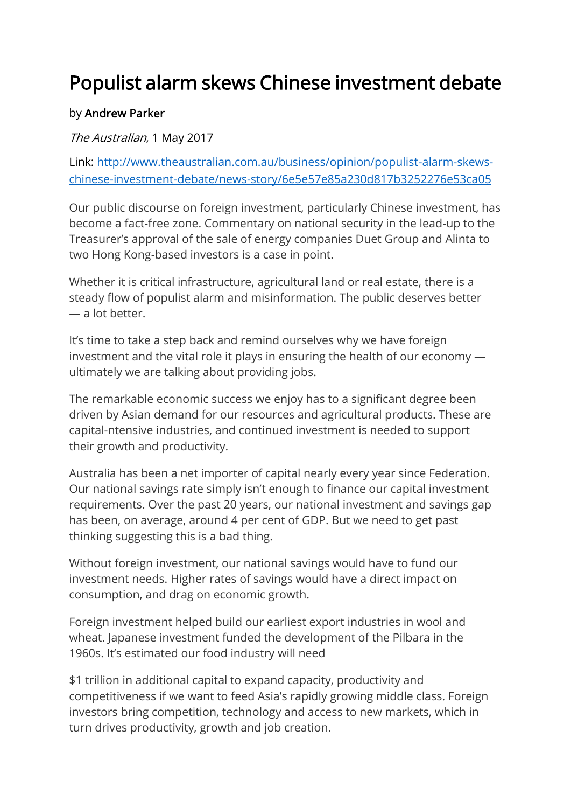## Populist alarm skews Chinese investment debate

## by Andrew Parker

The Australian, 1 May 2017

Link: [http://www.theaustralian.com.au/business/opinion/populist-alarm-skews](http://www.theaustralian.com.au/business/opinion/populist-alarm-skews-chinese-investment-debate/news-story/6e5e57e85a230d817b3252276e53ca05)[chinese-investment-debate/news-story/6e5e57e85a230d817b3252276e53ca05](http://www.theaustralian.com.au/business/opinion/populist-alarm-skews-chinese-investment-debate/news-story/6e5e57e85a230d817b3252276e53ca05)

Our public discourse on foreign investment, particularly Chinese investment, has become a fact-free zone. Commentary on national security in the lead-up to the Treasurer's approval of the sale of energy companies Duet Group and Alinta to two Hong Kong-based investors is a case in point.

Whether it is critical infrastructure, agricultural land or real estate, there is a steady flow of populist alarm and misinformation. The public deserves better — a lot better.

It's time to take a step back and remind ourselves why we have foreign investment and the vital role it plays in ensuring the health of our economy ultimately we are talking about providing jobs.

The remarkable economic success we enjoy has to a significant degree been driven by Asian demand for our resources and agricultural products. These are capital-ntensive industries, and continued investment is needed to support their growth and productivity.

Australia has been a net importer of capital nearly every year since Federation. Our national savings rate simply isn't enough to finance our capital investment requirements. Over the past 20 years, our national investment and savings gap has been, on average, around 4 per cent of GDP. But we need to get past thinking suggesting this is a bad thing.

Without foreign investment, our national savings would have to fund our investment needs. Higher rates of savings would have a direct impact on consumption, and drag on economic growth.

Foreign investment helped build our earliest export industries in wool and wheat. Japanese investment funded the development of the Pilbara in the 1960s. It's estimated our food industry will need

\$1 trillion in additional capital to expand capacity, productivity and competitiveness if we want to feed Asia's rapidly growing middle class. Foreign investors bring competition, technology and access to new markets, which in turn drives productivity, growth and job creation.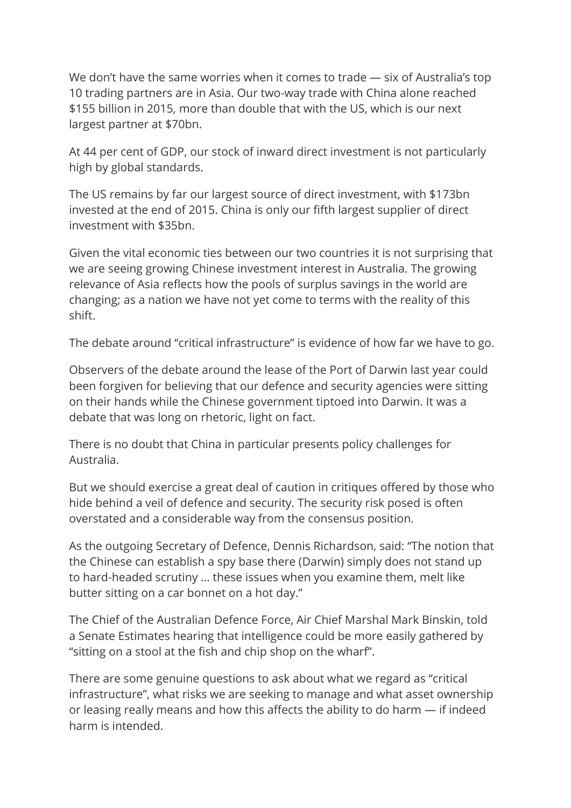We don't have the same worries when it comes to trade — six of Australia's top 10 trading partners are in Asia. Our two-way trade with China alone reached \$155 billion in 2015, more than double that with the US, which is our next largest partner at \$70bn.

At 44 per cent of GDP, our stock of inward direct investment is not particularly high by global standards.

The US remains by far our largest source of direct investment, with \$173bn invested at the end of 2015. China is only our fifth largest supplier of direct investment with \$35bn.

Given the vital economic ties between our two countries it is not surprising that we are seeing growing Chinese investment interest in Australia. The growing relevance of Asia reflects how the pools of surplus savings in the world are changing; as a nation we have not yet come to terms with the reality of this shift.

The debate around "critical infrastructure" is evidence of how far we have to go.

Observers of the debate around the lease of the Port of Darwin last year could been forgiven for believing that our defence and security agencies were sitting on their hands while the Chinese government tiptoed into Darwin. It was a debate that was long on rhetoric, light on fact.

There is no doubt that China in particular presents policy challenges for Australia.

But we should exercise a great deal of caution in critiques offered by those who hide behind a veil of defence and security. The security risk posed is often overstated and a considerable way from the consensus position.

As the outgoing Secretary of Defence, Dennis Richardson, said: "The notion that the Chinese can establish a spy base there (Darwin) simply does not stand up to hard-headed scrutiny … these issues when you examine them, melt like butter sitting on a car bonnet on a hot day."

The Chief of the Australian Defence Force, Air Chief Marshal Mark Binskin, told a Senate Estimates hearing that intelligence could be more easily gathered by "sitting on a stool at the fish and chip shop on the wharf".

There are some genuine questions to ask about what we regard as "critical infrastructure", what risks we are seeking to manage and what asset ownership or leasing really means and how this affects the ability to do harm — if indeed harm is intended.